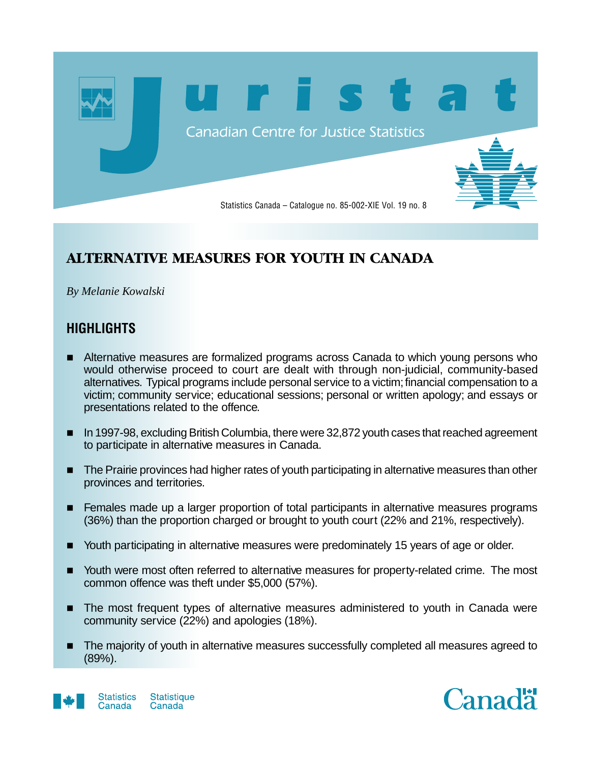

# **ALTERNATIVE MEASURES FOR YOUTH IN CANADA**

*By Melanie Kowalski*

# **HIGHLIGHTS**

- Alternative measures are formalized programs across Canada to which young persons who would otherwise proceed to court are dealt with through non-judicial, community-based alternatives. Typical programs include personal service to a victim; financial compensation to a victim; community service; educational sessions; personal or written apology; and essays or presentations related to the offence.
- **n** In 1997-98, excluding British Columbia, there were 32,872 youth cases that reached agreement to participate in alternative measures in Canada.
- **n** The Prairie provinces had higher rates of youth participating in alternative measures than other provinces and territories.
- **Females made up a larger proportion of total participants in alternative measures programs** (36%) than the proportion charged or brought to youth court (22% and 21%, respectively).
- Youth participating in alternative measures were predominately 15 years of age or older.
- Youth were most often referred to alternative measures for property-related crime. The most common offence was theft under \$5,000 (57%).
- **n** The most frequent types of alternative measures administered to youth in Canada were community service (22%) and apologies (18%).
- The majority of youth in alternative measures successfully completed all measures agreed to (89%).



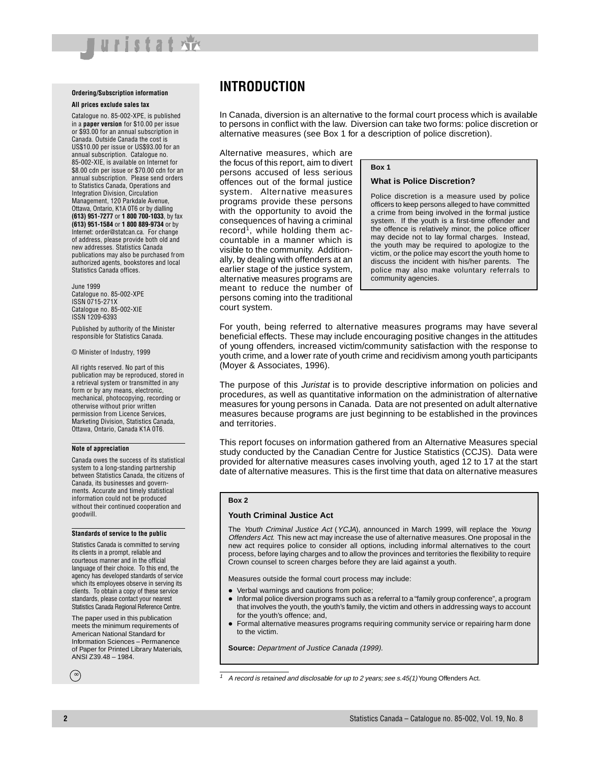#### **Ordering/Subscription information**

luristat ※

#### **All prices exclude sales tax**

Catalogue no. 85-002-XPE, is published in a **paper version** for \$10.00 per issue or \$93.00 for an annual subscription in Canada. Outside Canada the cost is US\$10.00 per issue or US\$93.00 for an annual subscription. Catalogue no. 85-002-XIE, is available on Internet for \$8.00 cdn per issue or \$70.00 cdn for an annual subscription. Please send orders to Statistics Canada, Operations and Integration Division, Circulation Management, 120 Parkdale Avenue, Ottawa, Ontario, K1A 0T6 or by dialling **(613) 951-7277** or **1 800 700-1033**, by fax **(613) 951-1584** or **1 800 889-9734** or by Internet: order@statcan.ca. For change of address, please provide both old and new addresses. Statistics Canada publications may also be purchased from authorized agents, bookstores and local Statistics Canada offices.

June 1999 Catalogue no. 85-002-XPE ISSN 0715-271X Catalogue no. 85-002-XIE ISSN 1209-6393

Published by authority of the Minister responsible for Statistics Canada.

© Minister of Industry, 1999

All rights reserved. No part of this publication may be reproduced, stored in a retrieval system or transmitted in any form or by any means, electronic, mechanical, photocopying, recording or otherwise without prior written permission from Licence Services, Marketing Division, Statistics Canada, Ottawa, Ontario, Canada K1A 0T6.

#### **Note of appreciation**

Canada owes the success of its statistical system to a long-standing partnership between Statistics Canada, the citizens of Canada, its businesses and governments. Accurate and timely statistical information could not be produced without their continued cooperation and goodwill.

#### **Standards of service to the public**

Statistics Canada is committed to serving its clients in a prompt, reliable and courteous manner and in the official language of their choice. To this end, the agency has developed standards of service which its employees observe in serving its clients. To obtain a copy of these service standards, please contact your nearest Statistics Canada Regional Reference Centre.

The paper used in this publication meets the minimum requirements of American National Standard for Information Sciences – Permanence of Paper for Printed Library Materials, ANSI Z39.48 – 1984.

**INTRODUCTION**

In Canada, diversion is an alternative to the formal court process which is available to persons in conflict with the law. Diversion can take two forms: police discretion or alternative measures (see Box 1 for a description of police discretion).

Alternative measures, which are the focus of this report, aim to divert persons accused of less serious offences out of the formal justice system. Alternative measures programs provide these persons with the opportunity to avoid the consequences of having a criminal record<sup>1</sup>, while holding them accountable in a manner which is visible to the community. Additionally, by dealing with offenders at an earlier stage of the justice system, alternative measures programs are meant to reduce the number of persons coming into the traditional court system.

**Box 1**

#### **What is Police Discretion?**

Police discretion is a measure used by police officers to keep persons alleged to have committed a crime from being involved in the formal justice system. If the youth is a first-time offender and the offence is relatively minor, the police officer may decide not to lay formal charges. Instead, the youth may be required to apologize to the victim, or the police may escort the youth home to discuss the incident with his/her parents. The police may also make voluntary referrals to community agencies.

For youth, being referred to alternative measures programs may have several beneficial effects. These may include encouraging positive changes in the attitudes of young offenders, increased victim/community satisfaction with the response to youth crime, and a lower rate of youth crime and recidivism among youth participants (Moyer & Associates, 1996).

The purpose of this *Juristat* is to provide descriptive information on policies and procedures, as well as quantitative information on the administration of alternative measures for young persons in Canada. Data are not presented on adult alternative measures because programs are just beginning to be established in the provinces and territories.

This report focuses on information gathered from an Alternative Measures special study conducted by the Canadian Centre for Justice Statistics (CCJS). Data were provided for alternative measures cases involving youth, aged 12 to 17 at the start date of alternative measures. This is the first time that data on alternative measures

#### **Box 2**

#### **Youth Criminal Justice Act**

The Youth Criminal Justice Act (YCJA), announced in March 1999, will replace the Young Offenders Act. This new act may increase the use of alternative measures. One proposal in the new act requires police to consider all options, including informal alternatives to the court process, before laying charges and to allow the provinces and territories the flexibility to require Crown counsel to screen charges before they are laid against a youth.

Measures outside the formal court process may include:

- Verbal warnings and cautions from police;
- $\bullet$  Informal police diversion programs such as a referral to a "family group conference", a program that involves the youth, the youth's family, the victim and others in addressing ways to account for the youth's offence; and,
- Formal alternative measures programs requiring community service or repairing harm done to the victim.

**Source:** Department of Justice Canada (1999).

∞

A record is retained and disclosable for up to 2 years; see s.45(1) Young Offenders Act.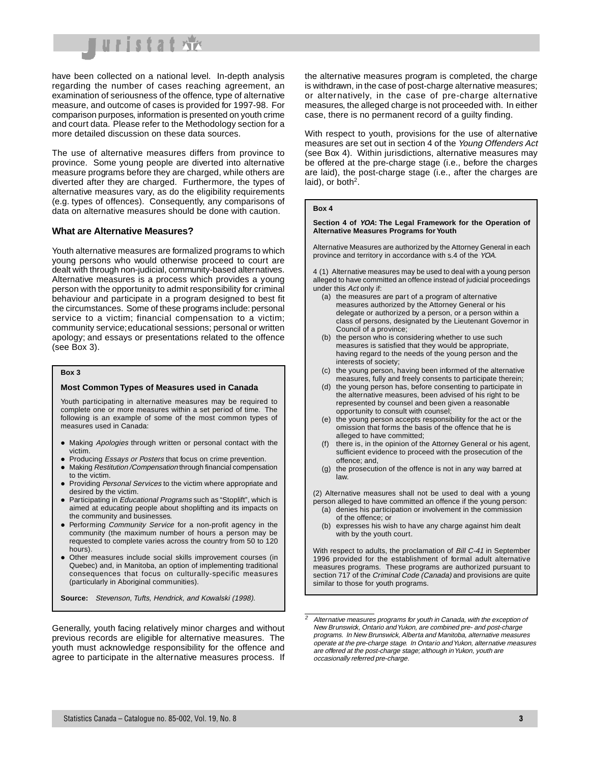

have been collected on a national level. In-depth analysis regarding the number of cases reaching agreement, an examination of seriousness of the offence, type of alternative measure, and outcome of cases is provided for 1997-98. For comparison purposes, information is presented on youth crime and court data. Please refer to the Methodology section for a more detailed discussion on these data sources.

The use of alternative measures differs from province to province. Some young people are diverted into alternative measure programs before they are charged, while others are diverted after they are charged. Furthermore, the types of alternative measures vary, as do the eligibility requirements (e.g. types of offences). Consequently, any comparisons of data on alternative measures should be done with caution.

#### **What are Alternative Measures?**

Youth alternative measures are formalized programs to which young persons who would otherwise proceed to court are dealt with through non-judicial, community-based alternatives. Alternative measures is a process which provides a young person with the opportunity to admit responsibility for criminal behaviour and participate in a program designed to best fit the circumstances. Some of these programs include: personal service to a victim; financial compensation to a victim; community service; educational sessions; personal or written apology; and essays or presentations related to the offence (see Box 3).

#### **Box 3**

#### **Most Common Types of Measures used in Canada**

Youth participating in alternative measures may be required to complete one or more measures within a set period of time. The following is an example of some of the most common types of measures used in Canada:

- Making Apologies through written or personal contact with the victim.
- Producing Essays or Posters that focus on crime prevention.
- Making Restitution /Compensation through financial compensation to the victim.
- Providing Personal Services to the victim where appropriate and desired by the victim.
- Participating in Educational Programs such as "Stoplift", which is aimed at educating people about shoplifting and its impacts on the community and businesses.
- Performing Community Service for a non-profit agency in the community (the maximum number of hours a person may be requested to complete varies across the country from 50 to 120 hours).
- Other measures include social skills improvement courses (in Quebec) and, in Manitoba, an option of implementing traditional consequences that focus on culturally-specific measures (particularly in Aboriginal communities).

**Source:** Stevenson, Tufts, Hendrick, and Kowalski (1998).

Generally, youth facing relatively minor charges and without previous records are eligible for alternative measures. The youth must acknowledge responsibility for the offence and agree to participate in the alternative measures process. If the alternative measures program is completed, the charge is withdrawn, in the case of post-charge alternative measures; or alternatively, in the case of pre-charge alternative measures, the alleged charge is not proceeded with. In either case, there is no permanent record of a guilty finding.

With respect to youth, provisions for the use of alternative measures are set out in section 4 of the Young Offenders Act (see Box 4). Within jurisdictions, alternative measures may be offered at the pre-charge stage (i.e., before the charges are laid), the post-charge stage (i.e., after the charges are laid), or both<sup>2</sup>.

#### **Box 4**

#### **Section 4 of YOA: The Legal Framework for the Operation of Alternative Measures Programs for Youth**

Alternative Measures are authorized by the Attorney General in each province and territory in accordance with s.4 of the YOA.

4 (1) Alternative measures may be used to deal with a young person alleged to have committed an offence instead of judicial proceedings under this Act only if:

- (a) the measures are part of a program of alternative measures authorized by the Attorney General or his delegate or authorized by a person, or a person within a class of persons, designated by the Lieutenant Governor in Council of a province;
- (b) the person who is considering whether to use such measures is satisfied that they would be appropriate, having regard to the needs of the young person and the interests of society;
- (c) the young person, having been informed of the alternative measures, fully and freely consents to participate therein;
- (d) the young person has, before consenting to participate in the alternative measures, been advised of his right to be represented by counsel and been given a reasonable opportunity to consult with counsel;
- (e) the young person accepts responsibility for the act or the omission that forms the basis of the offence that he is alleged to have committed;
- (f) there is, in the opinion of the Attorney General or his agent, sufficient evidence to proceed with the prosecution of the offence; and,
- (g) the prosecution of the offence is not in any way barred at law.

(2) Alternative measures shall not be used to deal with a young person alleged to have committed an offence if the young person:

- (a) denies his participation or involvement in the commission of the offence; or
- (b) expresses his wish to have any charge against him dealt with by the youth court.

With respect to adults, the proclamation of Bill C-41 in September 1996 provided for the establishment of formal adult alternative measures programs. These programs are authorized pursuant to section 717 of the Criminal Code (Canada) and provisions are quite similar to those for youth programs.

 $2$  Alternative measures programs for youth in Canada, with the exception of New Brunswick, Ontario and Yukon, are combined pre- and post-charge programs. In New Brunswick, Alberta and Manitoba, alternative measures operate at the pre-charge stage. In Ontario and Yukon, alternative measures are offered at the post-charge stage; although in Yukon, youth are occasionally referred pre-charge.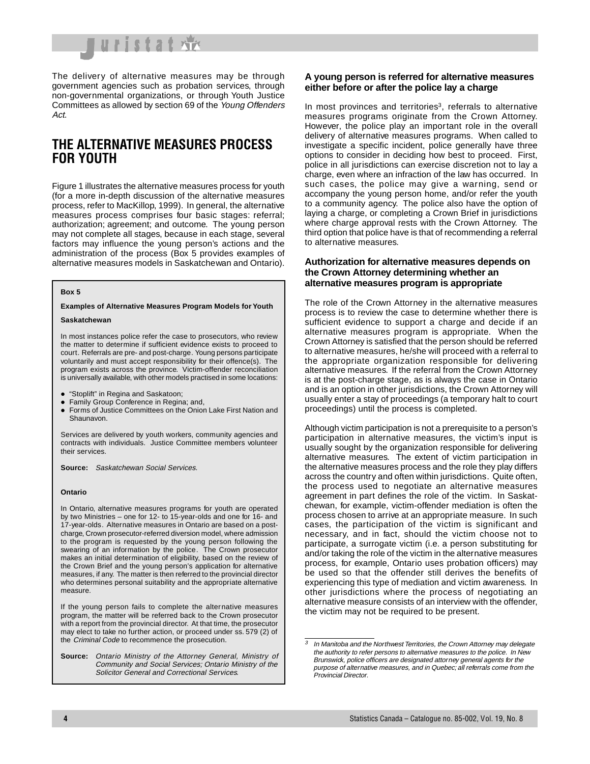

The delivery of alternative measures may be through government agencies such as probation services, through non-governmental organizations, or through Youth Justice Committees as allowed by section 69 of the Young Offenders Act.

## **THE ALTERNATIVE MEASURES PROCESS FOR YOUTH**

Figure 1 illustrates the alternative measures process for youth (for a more in-depth discussion of the alternative measures process, refer to MacKillop, 1999). In general, the alternative measures process comprises four basic stages: referral; authorization; agreement; and outcome. The young person may not complete all stages, because in each stage, several factors may influence the young person's actions and the administration of the process (Box 5 provides examples of alternative measures models in Saskatchewan and Ontario).

#### **Box 5**

#### **Examples of Alternative Measures Program Models for Youth**

#### **Saskatchewan**

In most instances police refer the case to prosecutors, who review the matter to determine if sufficient evidence exists to proceed to court. Referrals are pre- and post-charge. Young persons participate voluntarily and must accept responsibility for their offence(s). The program exists across the province. Victim-offender reconciliation is universally available, with other models practised in some locations:

- "Stoplift" in Regina and Saskatoon;
- Family Group Conference in Regina; and,
- **Forms of Justice Committees on the Onion Lake First Nation and** Shaunavon.

Services are delivered by youth workers, community agencies and contracts with individuals. Justice Committee members volunteer their services.

**Source:** Saskatchewan Social Services.

#### **Ontario**

In Ontario, alternative measures programs for youth are operated by two Ministries – one for 12- to 15-year-olds and one for 16- and 17-year-olds. Alternative measures in Ontario are based on a postcharge, Crown prosecutor-referred diversion model, where admission to the program is requested by the young person following the swearing of an information by the police. The Crown prosecutor makes an initial determination of eligibility, based on the review of the Crown Brief and the young person's application for alternative measures, if any. The matter is then referred to the provincial director who determines personal suitability and the appropriate alternative measure.

If the young person fails to complete the alternative measures program, the matter will be referred back to the Crown prosecutor with a report from the provincial director. At that time, the prosecutor may elect to take no further action, or proceed under ss. 579 (2) of the Criminal Code to recommence the prosecution.

**Source:** Ontario Ministry of the Attorney General, Ministry of Community and Social Services; Ontario Ministry of the Solicitor General and Correctional Services.

### **A young person is referred for alternative measures either before or after the police lay a charge**

In most provinces and territories<sup>3</sup>, referrals to alternative measures programs originate from the Crown Attorney. However, the police play an important role in the overall delivery of alternative measures programs. When called to investigate a specific incident, police generally have three options to consider in deciding how best to proceed. First, police in all jurisdictions can exercise discretion not to lay a charge, even where an infraction of the law has occurred. In such cases, the police may give a warning, send or accompany the young person home, and/or refer the youth to a community agency. The police also have the option of laying a charge, or completing a Crown Brief in jurisdictions where charge approval rests with the Crown Attorney. The third option that police have is that of recommending a referral to alternative measures.

### **Authorization for alternative measures depends on the Crown Attorney determining whether an alternative measures program is appropriate**

The role of the Crown Attorney in the alternative measures process is to review the case to determine whether there is sufficient evidence to support a charge and decide if an alternative measures program is appropriate. When the Crown Attorney is satisfied that the person should be referred to alternative measures, he/she will proceed with a referral to the appropriate organization responsible for delivering alternative measures. If the referral from the Crown Attorney is at the post-charge stage, as is always the case in Ontario and is an option in other jurisdictions, the Crown Attorney will usually enter a stay of proceedings (a temporary halt to court proceedings) until the process is completed.

Although victim participation is not a prerequisite to a person's participation in alternative measures, the victim's input is usually sought by the organization responsible for delivering alternative measures. The extent of victim participation in the alternative measures process and the role they play differs across the country and often within jurisdictions. Quite often, the process used to negotiate an alternative measures agreement in part defines the role of the victim. In Saskatchewan, for example, victim-offender mediation is often the process chosen to arrive at an appropriate measure. In such cases, the participation of the victim is significant and necessary, and in fact, should the victim choose not to participate, a surrogate victim (i.e. a person substituting for and/or taking the role of the victim in the alternative measures process, for example, Ontario uses probation officers) may be used so that the offender still derives the benefits of experiencing this type of mediation and victim awareness. In other jurisdictions where the process of negotiating an alternative measure consists of an interview with the offender, the victim may not be required to be present.

 $3$  In Manitoba and the Northwest Territories, the Crown Attorney may delegate the authority to refer persons to alternative measures to the police. In New Brunswick, police officers are designated attorney general agents for the purpose of alternative measures, and in Quebec; all referrals come from the Provincial Director.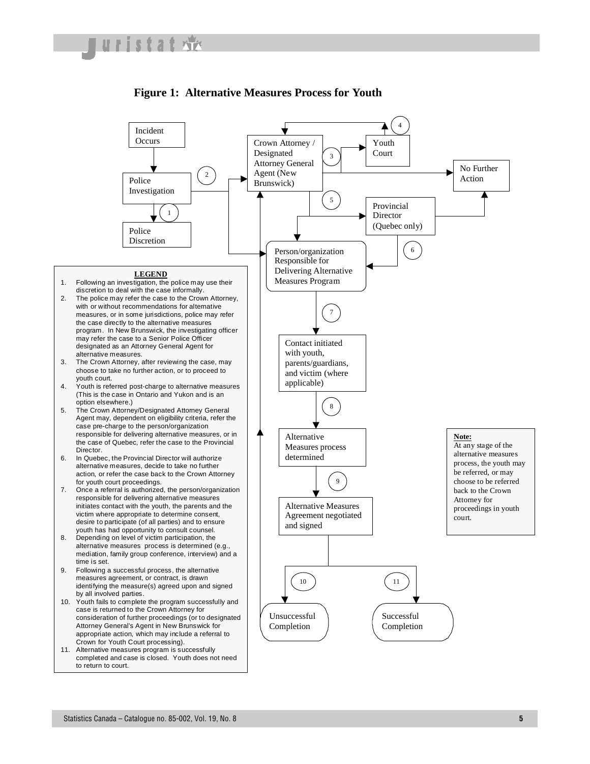

## **Figure 1: Alternative Measures Process for Youth**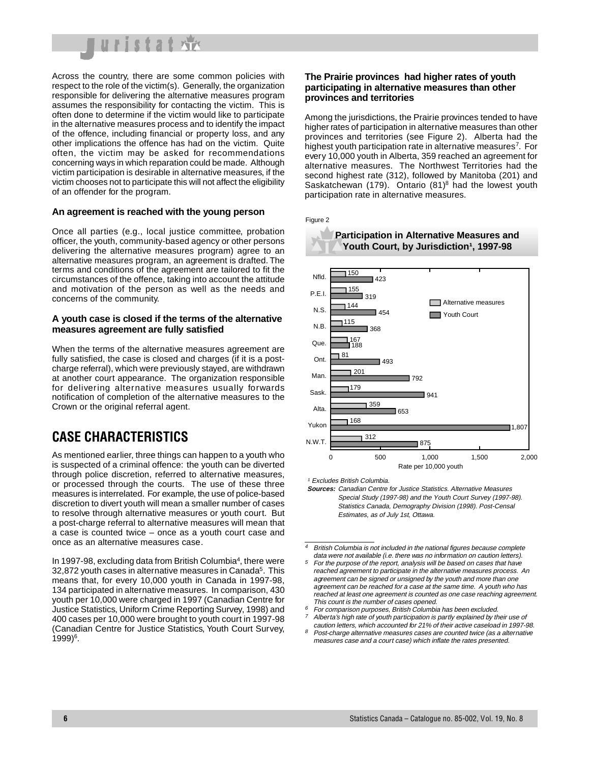

Across the country, there are some common policies with respect to the role of the victim(s). Generally, the organization responsible for delivering the alternative measures program assumes the responsibility for contacting the victim. This is often done to determine if the victim would like to participate in the alternative measures process and to identify the impact of the offence, including financial or property loss, and any other implications the offence has had on the victim. Quite often, the victim may be asked for recommendations concerning ways in which reparation could be made. Although victim participation is desirable in alternative measures, if the victim chooses not to participate this will not affect the eligibility of an offender for the program.

### **An agreement is reached with the young person**

Once all parties (e.g., local justice committee, probation officer, the youth, community-based agency or other persons delivering the alternative measures program) agree to an alternative measures program, an agreement is drafted. The terms and conditions of the agreement are tailored to fit the circumstances of the offence, taking into account the attitude and motivation of the person as well as the needs and concerns of the community.

### **A youth case is closed if the terms of the alternative measures agreement are fully satisfied**

When the terms of the alternative measures agreement are fully satisfied, the case is closed and charges (if it is a postcharge referral), which were previously stayed, are withdrawn at another court appearance. The organization responsible for delivering alternative measures usually forwards notification of completion of the alternative measures to the Crown or the original referral agent.

# **CASE CHARACTERISTICS**

As mentioned earlier, three things can happen to a youth who is suspected of a criminal offence: the youth can be diverted through police discretion, referred to alternative measures, or processed through the courts. The use of these three measures is interrelated. For example, the use of police-based discretion to divert youth will mean a smaller number of cases to resolve through alternative measures or youth court. But a post-charge referral to alternative measures will mean that a case is counted twice – once as a youth court case and once as an alternative measures case.

In 1997-98, excluding data from British Columbia<sup>4</sup>, there were 32,872 youth cases in alternative measures in Canada<sup>5</sup>. This means that, for every 10,000 youth in Canada in 1997-98, 134 participated in alternative measures. In comparison, 430 youth per 10,000 were charged in 1997 (Canadian Centre for Justice Statistics, Uniform Crime Reporting Survey, 1998) and 400 cases per 10,000 were brought to youth court in 1997-98 (Canadian Centre for Justice Statistics, Youth Court Survey,  $1999)^6$ .

## **The Prairie provinces had higher rates of youth participating in alternative measures than other provinces and territories**

Among the jurisdictions, the Prairie provinces tended to have higher rates of participation in alternative measures than other provinces and territories (see Figure 2). Alberta had the highest youth participation rate in alternative measures<sup>7</sup>. For every 10,000 youth in Alberta, 359 reached an agreement for alternative measures. The Northwest Territories had the second highest rate (312), followed by Manitoba (201) and Saskatchewan (179). Ontario  $(81)^8$  had the lowest youth participation rate in alternative measures.





<sup>1</sup> Excludes British Columbia.

**Sources:** Canadian Centre for Justice Statistics. Alternative Measures Special Study (1997-98) and the Youth Court Survey (1997-98). Statistics Canada, Demography Division (1998). Post-Censal Estimates, as of July 1st, Ottawa.

<sup>4</sup> British Columbia is not included in the national figures because complete data were not available (i.e. there was no information on caution letters).

- <sup>5</sup> For the purpose of the report, analysis will be based on cases that have reached agreement to participate in the alternative measures process. An agreement can be signed or unsigned by the youth and more than one agreement can be reached for a case at the same time. A youth who has reached at least one agreement is counted as one case reaching agreement. This count is the number of cases opened.
- <sup>6</sup> For comparison purposes, British Columbia has been excluded.
- <sup>7</sup> Alberta's high rate of youth participation is partly explained by their use of caution letters, which accounted for 21% of their active caseload in 1997-98. <sup>8</sup> Post-charge alternative measures cases are counted twice (as a alternative
- measures case and a court case) which inflate the rates presented.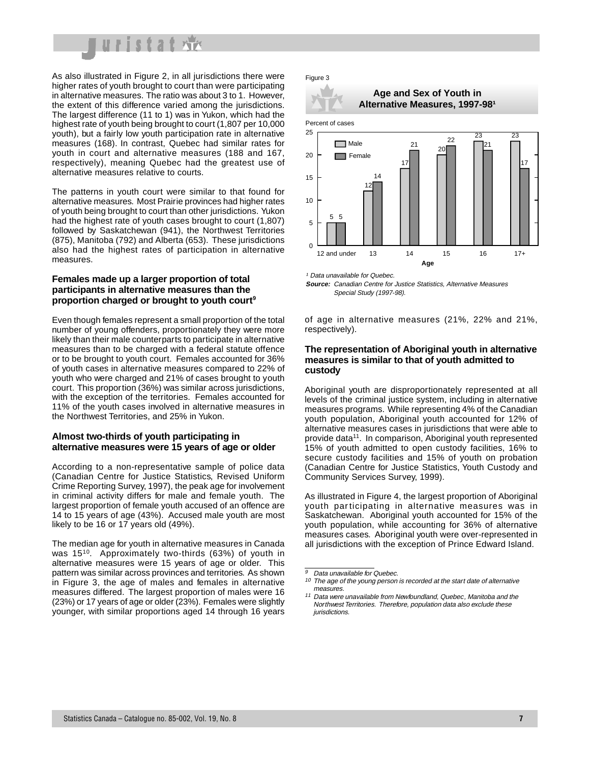

As also illustrated in Figure 2, in all jurisdictions there were higher rates of youth brought to court than were participating in alternative measures. The ratio was about 3 to 1. However, the extent of this difference varied among the jurisdictions. The largest difference (11 to 1) was in Yukon, which had the highest rate of youth being brought to court (1,807 per 10,000 youth), but a fairly low youth participation rate in alternative measures (168). In contrast, Quebec had similar rates for youth in court and alternative measures (188 and 167, respectively), meaning Quebec had the greatest use of alternative measures relative to courts.

The patterns in youth court were similar to that found for alternative measures. Most Prairie provinces had higher rates of youth being brought to court than other jurisdictions. Yukon had the highest rate of youth cases brought to court (1,807) followed by Saskatchewan (941), the Northwest Territories (875), Manitoba (792) and Alberta (653). These jurisdictions also had the highest rates of participation in alternative measures.

## **Females made up a larger proportion of total participants in alternative measures than the proportion charged or brought to youth court9**

Even though females represent a small proportion of the total number of young offenders, proportionately they were more likely than their male counterparts to participate in alternative measures than to be charged with a federal statute offence or to be brought to youth court. Females accounted for 36% of youth cases in alternative measures compared to 22% of youth who were charged and 21% of cases brought to youth court. This proportion (36%) was similar across jurisdictions, with the exception of the territories. Females accounted for 11% of the youth cases involved in alternative measures in the Northwest Territories, and 25% in Yukon.

### **Almost two-thirds of youth participating in alternative measures were 15 years of age or older**

According to a non-representative sample of police data (Canadian Centre for Justice Statistics, Revised Uniform Crime Reporting Survey, 1997), the peak age for involvement in criminal activity differs for male and female youth. The largest proportion of female youth accused of an offence are 14 to 15 years of age (43%). Accused male youth are most likely to be 16 or 17 years old (49%).

The median age for youth in alternative measures in Canada was 1510. Approximately two-thirds (63%) of youth in alternative measures were 15 years of age or older. This pattern was similar across provinces and territories. As shown in Figure 3, the age of males and females in alternative measures differed. The largest proportion of males were 16 (23%) or 17 years of age or older (23%). Females were slightly younger, with similar proportions aged 14 through 16 years

#### Figure 3

## **Age and Sex of Youth in Alternative Measures, 1997-981**



<sup>1</sup> Data unavailable for Quebec. **Source:** Canadian Centre for Justice Statistics, Alternative Measures Special Study (1997-98).

of age in alternative measures (21%, 22% and 21%, respectively).

## **The representation of Aboriginal youth in alternative measures is similar to that of youth admitted to custody**

Aboriginal youth are disproportionately represented at all levels of the criminal justice system, including in alternative measures programs. While representing 4% of the Canadian youth population, Aboriginal youth accounted for 12% of alternative measures cases in jurisdictions that were able to provide data<sup>11</sup>. In comparison, Aboriginal youth represented 15% of youth admitted to open custody facilities, 16% to secure custody facilities and 15% of youth on probation (Canadian Centre for Justice Statistics, Youth Custody and Community Services Survey, 1999).

As illustrated in Figure 4, the largest proportion of Aboriginal youth participating in alternative measures was in Saskatchewan. Aboriginal youth accounted for 15% of the youth population, while accounting for 36% of alternative measures cases. Aboriginal youth were over-represented in all jurisdictions with the exception of Prince Edward Island.

 $\overline{9}$  Data unavailable for Quebec.

 $10$  The age of the young person is recorded at the start date of alternative measures.

<sup>11</sup> Data were unavailable from Newfoundland, Quebec, Manitoba and the Northwest Territories. Therefore, population data also exclude these jurisdictions.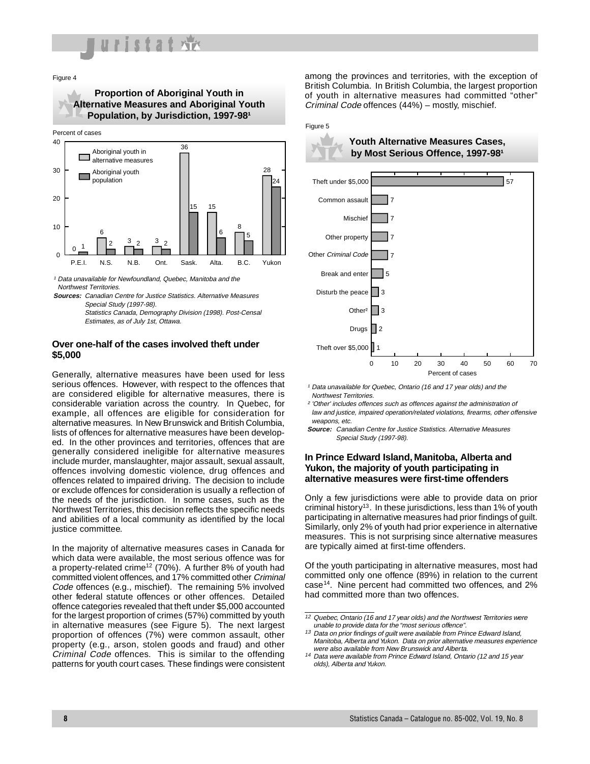

Figure 4

**Proportion of Aboriginal Youth in Alternative Measures and Aboriginal Youth**  Population, by Jurisdiction, 1997-98<sup>1</sup>





<sup>1</sup> Data unavailable for Newfoundland, Quebec, Manitoba and the Northwest Territories.

**Sources:** Canadian Centre for Justice Statistics. Alternative Measures Special Study (1997-98).

Statistics Canada, Demography Division (1998). Post-Censal Estimates, as of July 1st, Ottawa.

## **Over one-half of the cases involved theft under \$5,000**

Generally, alternative measures have been used for less serious offences. However, with respect to the offences that are considered eligible for alternative measures, there is considerable variation across the country. In Quebec, for example, all offences are eligible for consideration for alternative measures. In New Brunswick and British Columbia, lists of offences for alternative measures have been developed. In the other provinces and territories, offences that are generally considered ineligible for alternative measures include murder, manslaughter, major assault, sexual assault, offences involving domestic violence, drug offences and offences related to impaired driving. The decision to include or exclude offences for consideration is usually a reflection of the needs of the jurisdiction. In some cases, such as the Northwest Territories, this decision reflects the specific needs and abilities of a local community as identified by the local justice committee.

In the majority of alternative measures cases in Canada for which data were available, the most serious offence was for a property-related crime<sup>12</sup> (70%). A further 8% of youth had committed violent offences, and 17% committed other Criminal Code offences (e.g., mischief). The remaining 5% involved other federal statute offences or other offences. Detailed offence categories revealed that theft under \$5,000 accounted for the largest proportion of crimes (57%) committed by youth in alternative measures (see Figure 5). The next largest proportion of offences (7%) were common assault, other property (e.g., arson, stolen goods and fraud) and other Criminal Code offences. This is similar to the offending patterns for youth court cases. These findings were consistent among the provinces and territories, with the exception of British Columbia. In British Columbia, the largest proportion of youth in alternative measures had committed "other" Criminal Code offences (44%) – mostly, mischief.

#### Figure 5



**Youth Alternative Measures Cases,**  by Most Serious Offence, 1997-98<sup>1</sup>



<sup>1</sup> Data unavailable for Quebec, Ontario (16 and 17 year olds) and the Northwest Territories.

² 'Other' includes offences such as offences against the administration of law and justice, impaired operation/related violations, firearms, other offensive weapons, etc.

**Source:** Canadian Centre for Justice Statistics. Alternative Measures Special Study (1997-98).

## **In Prince Edward Island, Manitoba, Alberta and Yukon, the majority of youth participating in alternative measures were first-time offenders**

Only a few jurisdictions were able to provide data on prior criminal history<sup>13</sup>. In these jurisdictions, less than 1% of youth participating in alternative measures had prior findings of guilt. Similarly, only 2% of youth had prior experience in alternative measures. This is not surprising since alternative measures are typically aimed at first-time offenders.

Of the youth participating in alternative measures, most had committed only one offence (89%) in relation to the current case<sup>14</sup>. Nine percent had committed two offences, and 2% had committed more than two offences.

<sup>12</sup> Quebec, Ontario (16 and 17 year olds) and the Northwest Territories were unable to provide data for the "most serious offence".

<sup>13</sup> Data on prior findings of guilt were available from Prince Edward Island, Manitoba, Alberta and Yukon. Data on prior alternative measures experience were also available from New Brunswick and Alberta.

<sup>14</sup> Data were available from Prince Edward Island, Ontario (12 and 15 year olds), Alberta and Yukon.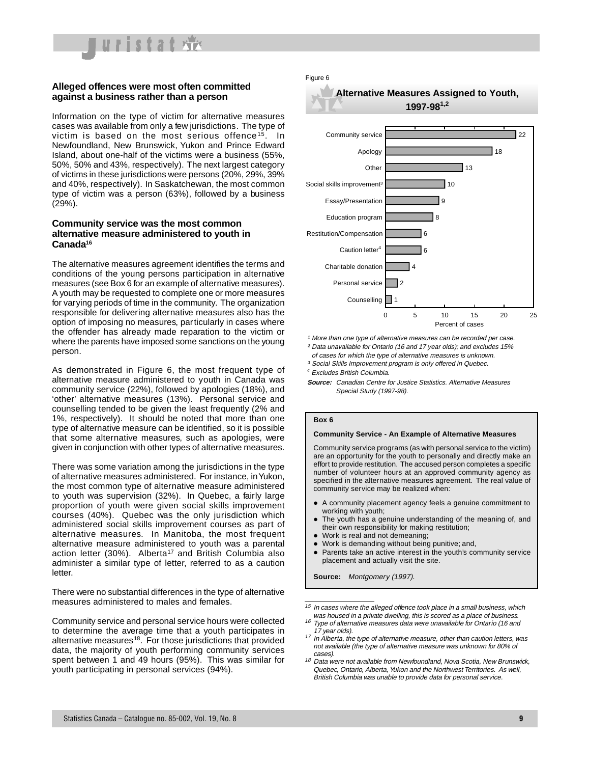

## **Alleged offences were most often committed against a business rather than a person**

Information on the type of victim for alternative measures cases was available from only a few jurisdictions. The type of victim is based on the most serious offence<sup>15</sup>. In Newfoundland, New Brunswick, Yukon and Prince Edward Island, about one-half of the victims were a business (55%, 50%, 50% and 43%, respectively). The next largest category of victims in these jurisdictions were persons (20%, 29%, 39% and 40%, respectively). In Saskatchewan, the most common type of victim was a person (63%), followed by a business (29%).

### **Community service was the most common alternative measure administered to youth in Canada16**

The alternative measures agreement identifies the terms and conditions of the young persons participation in alternative measures (see Box 6 for an example of alternative measures). A youth may be requested to complete one or more measures for varying periods of time in the community. The organization responsible for delivering alternative measures also has the option of imposing no measures, particularly in cases where the offender has already made reparation to the victim or where the parents have imposed some sanctions on the young person.

As demonstrated in Figure 6, the most frequent type of alternative measure administered to youth in Canada was community service (22%), followed by apologies (18%), and 'other' alternative measures (13%). Personal service and counselling tended to be given the least frequently (2% and 1%, respectively). It should be noted that more than one type of alternative measure can be identified, so it is possible that some alternative measures, such as apologies, were given in conjunction with other types of alternative measures.

There was some variation among the jurisdictions in the type of alternative measures administered. For instance, in Yukon, the most common type of alternative measure administered to youth was supervision (32%). In Quebec, a fairly large proportion of youth were given social skills improvement courses (40%). Quebec was the only jurisdiction which administered social skills improvement courses as part of alternative measures. In Manitoba, the most frequent alternative measure administered to youth was a parental action letter (30%). Alberta<sup>17</sup> and British Columbia also administer a similar type of letter, referred to as a caution letter.

There were no substantial differences in the type of alternative measures administered to males and females.

Community service and personal service hours were collected to determine the average time that a youth participates in alternative measures<sup>18</sup>. For those jurisdictions that provided data, the majority of youth performing community services spent between 1 and 49 hours (95%). This was similar for youth participating in personal services (94%).







1 More than one type of alternative measures can be recorded per case.

- ² Data unavailable for Ontario (16 and 17 year olds); and excludes 15%
- of cases for which the type of alternative measures is unknown. <sup>3</sup> Social Skills Improvement program is only offered in Quebec.
- <sup>4</sup> Excludes British Columbia.
- **Source:** Canadian Centre for Justice Statistics. Alternative Measures Special Study (1997-98).

#### **Box 6**

#### **Community Service - An Example of Alternative Measures**

Community service programs (as with personal service to the victim) are an opportunity for the youth to personally and directly make an effort to provide restitution. The accused person completes a specific number of volunteer hours at an approved community agency as specified in the alternative measures agreement. The real value of community service may be realized when:

- A community placement agency feels a genuine commitment to working with youth;
- The youth has a genuine understanding of the meaning of, and their own responsibility for making restitution;
- Work is real and not demeaning;
- Work is demanding without being punitive; and,
- Parents take an active interest in the youth's community service placement and actually visit the site.

**Source:** Montgomery (1997).

- <sup>16</sup> Type of alternative measures data were unavailable for Ontario (16 and 17 year olds).
- <sup>17</sup> In Alberta, the type of alternative measure, other than caution letters, was not available (the type of alternative measure was unknown for 80% of cases).
- $18$  Data were not available from Newfoundland, Nova Scotia, New Brunswick, Quebec, Ontario, Alberta, Yukon and the Northwest Territories. As well, British Columbia was unable to provide data for personal service.

 $15$  In cases where the alleged offence took place in a small business, which was housed in a private dwelling, this is scored as a place of business.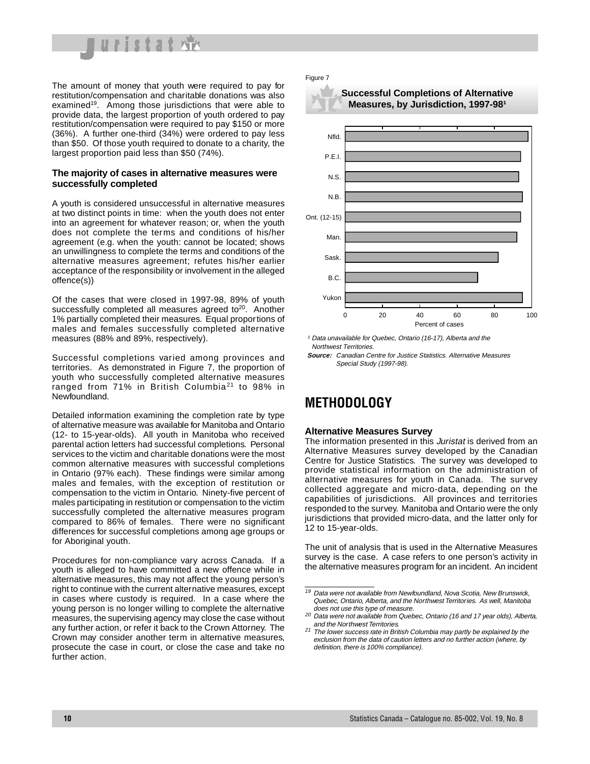

The amount of money that youth were required to pay for restitution/compensation and charitable donations was also examined<sup>19</sup>. Among those jurisdictions that were able to provide data, the largest proportion of youth ordered to pay restitution/compensation were required to pay \$150 or more (36%). A further one-third (34%) were ordered to pay less than \$50. Of those youth required to donate to a charity, the largest proportion paid less than \$50 (74%).

## **The majority of cases in alternative measures were successfully completed**

A youth is considered unsuccessful in alternative measures at two distinct points in time: when the youth does not enter into an agreement for whatever reason; or, when the youth does not complete the terms and conditions of his/her agreement (e.g. when the youth: cannot be located; shows an unwillingness to complete the terms and conditions of the alternative measures agreement; refutes his/her earlier acceptance of the responsibility or involvement in the alleged offence(s))

Of the cases that were closed in 1997-98, 89% of youth successfully completed all measures agreed to<sup>20</sup>. Another 1% partially completed their measures. Equal proportions of males and females successfully completed alternative measures (88% and 89%, respectively).

Successful completions varied among provinces and territories. As demonstrated in Figure 7, the proportion of youth who successfully completed alternative measures ranged from 71% in British Columbia<sup>21</sup> to 98% in Newfoundland.

Detailed information examining the completion rate by type of alternative measure was available for Manitoba and Ontario (12- to 15-year-olds). All youth in Manitoba who received parental action letters had successful completions. Personal services to the victim and charitable donations were the most common alternative measures with successful completions in Ontario (97% each). These findings were similar among males and females, with the exception of restitution or compensation to the victim in Ontario. Ninety-five percent of males participating in restitution or compensation to the victim successfully completed the alternative measures program compared to 86% of females. There were no significant differences for successful completions among age groups or for Aboriginal youth.

Procedures for non-compliance vary across Canada. If a youth is alleged to have committed a new offence while in alternative measures, this may not affect the young person's right to continue with the current alternative measures, except in cases where custody is required. In a case where the young person is no longer willing to complete the alternative measures, the supervising agency may close the case without any further action, or refer it back to the Crown Attorney. The Crown may consider another term in alternative measures, prosecute the case in court, or close the case and take no further action.

#### Figure 7





<sup>1</sup> Data unavailable for Quebec, Ontario (16-17), Alberta and the Northwest Territories.

**Source:** Canadian Centre for Justice Statistics. Alternative Measures Special Study (1997-98).

## **METHODOLOGY**

### **Alternative Measures Survey**

The information presented in this *Juristat* is derived from an Alternative Measures survey developed by the Canadian Centre for Justice Statistics. The survey was developed to provide statistical information on the administration of alternative measures for youth in Canada. The survey collected aggregate and micro-data, depending on the capabilities of jurisdictions. All provinces and territories responded to the survey. Manitoba and Ontario were the only jurisdictions that provided micro-data, and the latter only for 12 to 15-year-olds.

The unit of analysis that is used in the Alternative Measures survey is the case. A case refers to one person's activity in the alternative measures program for an incident. An incident

<sup>19</sup> Data were not available from Newfoundland, Nova Scotia, New Brunswick, Quebec, Ontario, Alberta, and the Northwest Territories. As well, Manitoba does not use this type of measure.

<sup>&</sup>lt;sup>20</sup> Data were not available from Quebec, Ontario (16 and 17 year olds), Alberta, and the Northwest Territories.

<sup>21</sup> The lower success rate in British Columbia may partly be explained by the exclusion from the data of caution letters and no further action (where, by definition, there is 100% compliance).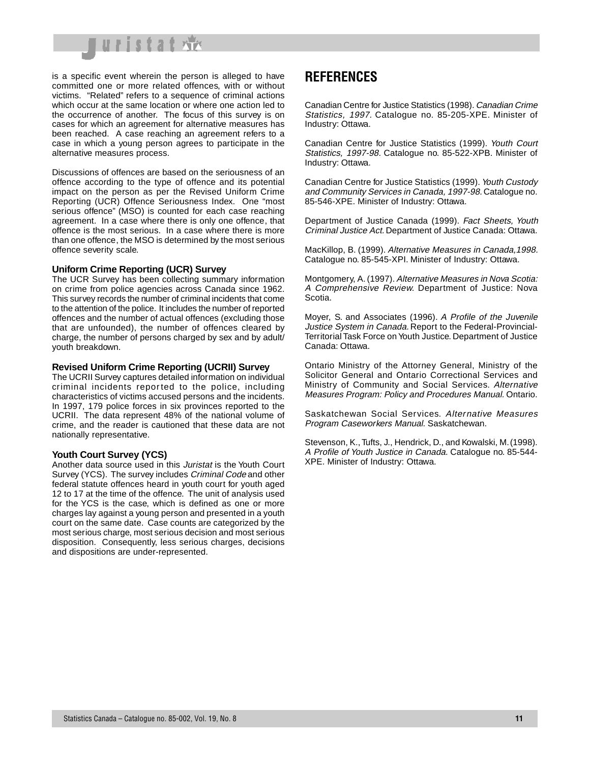

is a specific event wherein the person is alleged to have committed one or more related offences, with or without victims. "Related" refers to a sequence of criminal actions which occur at the same location or where one action led to the occurrence of another. The focus of this survey is on cases for which an agreement for alternative measures has been reached. A case reaching an agreement refers to a case in which a young person agrees to participate in the alternative measures process.

Discussions of offences are based on the seriousness of an offence according to the type of offence and its potential impact on the person as per the Revised Uniform Crime Reporting (UCR) Offence Seriousness Index. One "most serious offence" (MSO) is counted for each case reaching agreement. In a case where there is only one offence, that offence is the most serious. In a case where there is more than one offence, the MSO is determined by the most serious offence severity scale.

#### **Uniform Crime Reporting (UCR) Survey**

The UCR Survey has been collecting summary information on crime from police agencies across Canada since 1962. This survey records the number of criminal incidents that come to the attention of the police. It includes the number of reported offences and the number of actual offences (excluding those that are unfounded), the number of offences cleared by charge, the number of persons charged by sex and by adult/ youth breakdown.

#### **Revised Uniform Crime Reporting (UCRII) Survey**

The UCRII Survey captures detailed information on individual criminal incidents reported to the police, including characteristics of victims accused persons and the incidents. In 1997, 179 police forces in six provinces reported to the UCRII. The data represent 48% of the national volume of crime, and the reader is cautioned that these data are not nationally representative.

### **Youth Court Survey (YCS)**

Another data source used in this Juristat is the Youth Court Survey (YCS). The survey includes Criminal Code and other federal statute offences heard in youth court for youth aged 12 to 17 at the time of the offence. The unit of analysis used for the YCS is the case, which is defined as one or more charges lay against a young person and presented in a youth court on the same date. Case counts are categorized by the most serious charge, most serious decision and most serious disposition. Consequently, less serious charges, decisions and dispositions are under-represented.

## **REFERENCES**

Canadian Centre for Justice Statistics (1998). Canadian Crime Statistics, 1997. Catalogue no. 85-205-XPE. Minister of Industry: Ottawa.

Canadian Centre for Justice Statistics (1999). Youth Court Statistics, 1997-98. Catalogue no. 85-522-XPB. Minister of Industry: Ottawa.

Canadian Centre for Justice Statistics (1999). Youth Custody and Community Services in Canada, 1997-98. Catalogue no. 85-546-XPE. Minister of Industry: Ottawa.

Department of Justice Canada (1999). Fact Sheets, Youth Criminal Justice Act. Department of Justice Canada: Ottawa.

MacKillop, B. (1999). Alternative Measures in Canada,1998. Catalogue no. 85-545-XPI. Minister of Industry: Ottawa.

Montgomery, A. (1997). Alternative Measures in Nova Scotia: A Comprehensive Review. Department of Justice: Nova Scotia.

Moyer, S. and Associates (1996). A Profile of the Juvenile Justice System in Canada. Report to the Federal-Provincial-Territorial Task Force on Youth Justice. Department of Justice Canada: Ottawa.

Ontario Ministry of the Attorney General, Ministry of the Solicitor General and Ontario Correctional Services and Ministry of Community and Social Services. Alternative Measures Program: Policy and Procedures Manual. Ontario.

Saskatchewan Social Services. Alternative Measures Program Caseworkers Manual. Saskatchewan.

Stevenson, K., Tufts, J., Hendrick, D., and Kowalski, M. (1998). A Profile of Youth Justice in Canada. Catalogue no. 85-544- XPE. Minister of Industry: Ottawa.